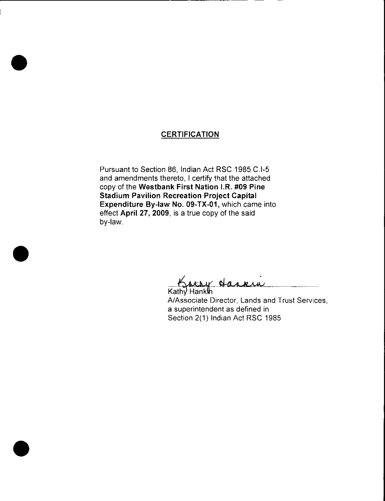## **CERTIFICATION**

Pursuant to Section 86, Indian Act RSC 1985 C.I-5 and amendments thereto, I certify that the attached copy of the Westbank First Nation I.R. #09 Pine Stadium Pavilion Recreation Project Capital Expenditure By-law No. 09-TX-01, which came into effect April 27, 2009, is a true copy of the said by-law.

Kathy Hankin

A/Associate Director, Lands and Trust Services, a superintendent as defined in Section 2(1) Indian Act RSC 1985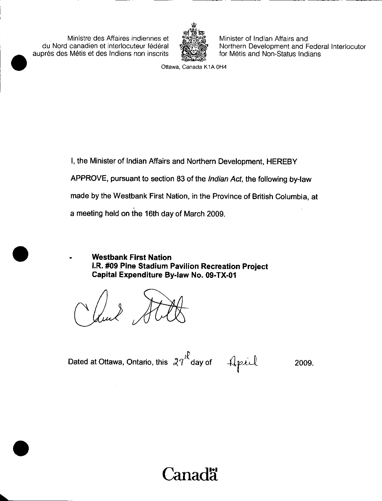Ministre des Affaires indiennes et du Nord canadien et interlocuteur federal aupres des Metis et des lndiens non inscrits



Minister of Indian Affairs and Northern Development and Federal Interlocutor for Métis and Non-Status Indians

Ottawa, Canada K1A OH4

I, the Minister of Indian Affairs and Northern Development, HEREBY APPROVE, pursuant to section 83 of the Indian Act, the following by -law made by the Westbank First Nation, in the Province of British Columbia, at a meeting held on the 16th day of March 2009.

Westbank First Nation I.R. #09 Pine Stadium Pavilion Recreation Project Capital Expenditure By -law No. 09 -TX -01

Dated at Ottawa, Ontario, this  $27^{18}$  day of  $4$  april 2009.

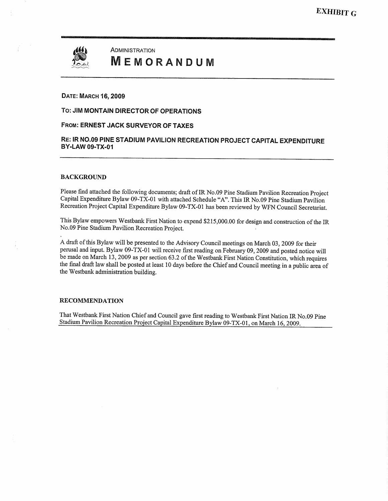

ADMINISTRATION **MEMORANDUM** 

#### DATE: MARCH 16, 2009

#### To: JIM MONTAIN DIRECTOR OF OPERATIONS

#### FROM: ERNEST JACK SURVEYOR OF TAXES

#### RE: IR NO.09 PINE STADIUM PAVILION RECREATION PROJECT CAPITAL EXPENDITURE BY-LAW 09-TX-01

#### BACKGROUND

Please find attached the following documents; draft of IR No.09 Pine Stadium Pavilion Recreation Project Capital Expenditure Bylaw 09-TX-01 with attached Schedule "A". This IR No.09 Pine Stadium Pavilion Recreation Project Capital Expenditure Bylaw 09-TX-01 has been reviewed by WFN Council Secretariat.

This Bylaw empowers Westbank First Nation to expend \$215,000.00 for design and construction of the IR No.09 Pine Stadium Pavilion Recreation Project.

A draft of this Bylaw will be presented to the Advisory Council meetings on March 03, 2009 for their perusal and input. Bylaw 09-TX-01 will receive first reading on February 09, 2009 and posted notice will be made on March 13, 2009 as per section 63.2 of the Westbank First Nation Constitution, Which requires the final draft law shall be posted at least 10 days before the Chief and Council meeting in <sup>a</sup> public area of the Westbank administration building.

#### RECOMMENDATION

That Westbank First Nation Chief and Council gave first reading to Westbank First Nation IR No.09 Pine Stadium Pavilion Recreation Project Capital Expenditure Bylaw 09-TX-01, on March 16, 2009.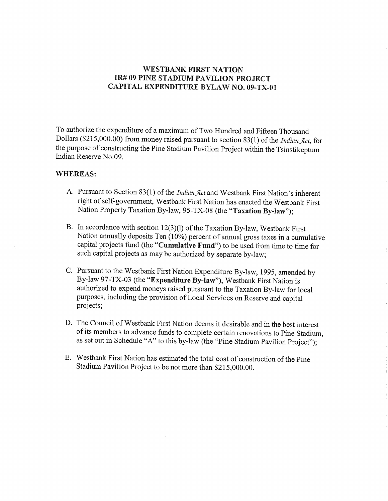## WESTBANK FIRST NATION IR# 09 PINE STADIUM PAVILION PROJECT CAPITAL EXPENDITURE BYLAW NO. 09-TX-01

To authorize the expenditure of <sup>a</sup> maximum of Two Hundred and Fifteen Thousand Dollars (\$215,000.00) from money raised pursuant to section 83(1) of the Indian Act, for the purpose of constructing the Pine Stadium Pavilion Project within the Tsinstikeptum Indian Reserve No.09.

#### WHEREAS

- A. Pursuant to Section 83(1) of the *Indian Act* and Westbank First Nation's inherent right of self-government, Westbank First Nation has enacted the Westbank First Nation Property Taxation By-law, 95-TX-08 (the "Taxation By-law");
- B. In accordance with section  $12(3)(l)$  of the Taxation By-law, Westbank First Nation annually deposits Ten (10%) percent of annual gross taxes in a cumulative capital projects fund (the "Cumulative Fund") to be used from time to time for such capital projects as may be authorized by separate by-law;
- C. Pursuant to the Westbank First Nation Expenditure By -law, 1995, amended by By-law 97-TX-03 (the "Expenditure By-law"), Westbank First Nation is authorized to expend moneys raised pursuant to the Taxation By -law for local purposes, including the provision of Local Services on Reserve and capital projects;
- D. The Council of Westbank First Nation deems it desirable and in the best interest of its members to advance funds to complete certain renovations to Pine Stadium, as set out in Schedule "A" to this by-law (the "Pine Stadium Pavilion Project");
- E. Westbank First Nation has estimated the total cost of construction of the Pine Stadium Pavilion Project to be not more than \$215,000.00.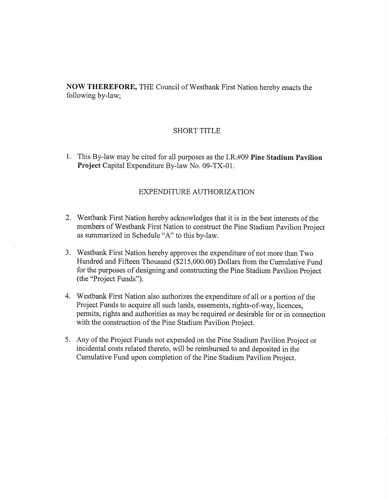NOW THEREFORE, THE Council of Westbank First Nation hereby enacts the following by-law;

#### SHORT TITLE

1. This By-law may be cited for all purposes as the I.R.#09 Pine Stadium Pavilion Project Capital Expenditure By-law No. 09-TX-01.

### EXPENDITURE AUTHORIZATION

- 2. Westbank First Nation hereby acknowledges that it is in the best interests of the members of Westbank First Nation to construct the Pine Stadium Pavilion Project as summarized in Schedule "A" to this by-law.
- 3. Westbank First Nation hereby approves the expenditure of not more than Two as summarized in schedule A to this by-law.<br>Westbank First Nation hereby approves the expenditure of not more than Two<br>Hundred and Fifteen Thousand (\$215,000.00) Dollars from the Cumulative Fund<br>for the purposes of designi for the purposes of designing and constructing the Pine Stadium Pavilion Project (the "Project Funds").
- 4. Westbank First Nation also authorizes the expenditure of all or <sup>a</sup> portion of the Project Funds to acquire all such lands, easements, rights-of-way, licences, permits, rights and authorities as may be required or desirable for or in connection with the construction of the Pine Stadium Pavilion Project.
- 5. Any of the Project Funds not expended on the Pine Stadium Pavilion Project or incidental costs related thereto, Will be reimbursed to and deposited in the Cumulative Fund upon completion of the Pine Stadium Pavilion Project.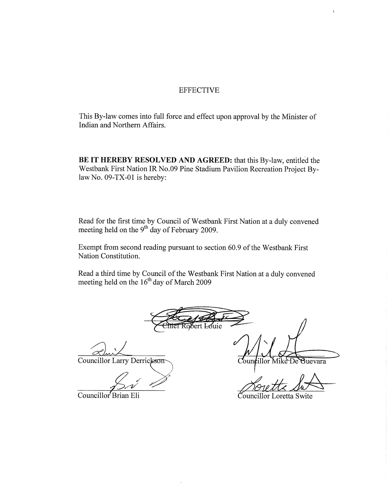#### EFFECTIVE

This By -law comes into full force and effect upon approval by the Minister of Indian and Northern Affairs.

BE IT HEREBY RESOLVED AND AGREED: that this By-law, entitled the Westbank First Nation IR No.09 Pine Stadium Pavilion Recreation Project Bylaw No. 09-TX-01 is hereby:

Read for the first time by Council of Westbank First Nation at <sup>a</sup> duly convened meeting held on the  $9^{\circ}$  day of February 2009.

Exempt from second reading pursuant to section 50.9 of the Westbank First Nation Constitution.

Read a third time by Council of the Westbank First Nation at a duly convened meeting held on the  $16<sup>th</sup>$  day of March 2009

Bert Louie

Councillor Larry Derrickson

Councillor Brian Eli Councillor Loretta Swite

 $Count$ 

 $\mathbf{t}$ 

illor Mike De Guevara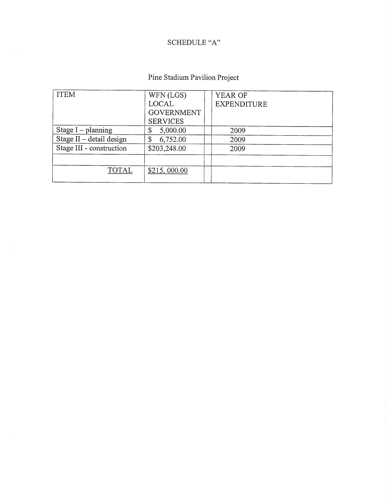# SCHEDULE "A"

# Pine Stadium Pavilion Project

| <b>ITEM</b>              | WFN (LGS)         | YEAR OF            |  |
|--------------------------|-------------------|--------------------|--|
|                          | LOCAL             | <b>EXPENDITURE</b> |  |
|                          | <b>GOVERNMENT</b> |                    |  |
|                          | <b>SERVICES</b>   |                    |  |
| Stage $I$ – planning     | 5,000.00<br>\$    | 2009               |  |
| Stage II - detail design | 6,752.00<br>\$    | 2009               |  |
| Stage III - construction | \$203,248.00      | 2009               |  |
|                          |                   |                    |  |
| <b>TOTAL</b>             | \$215,000.00      |                    |  |